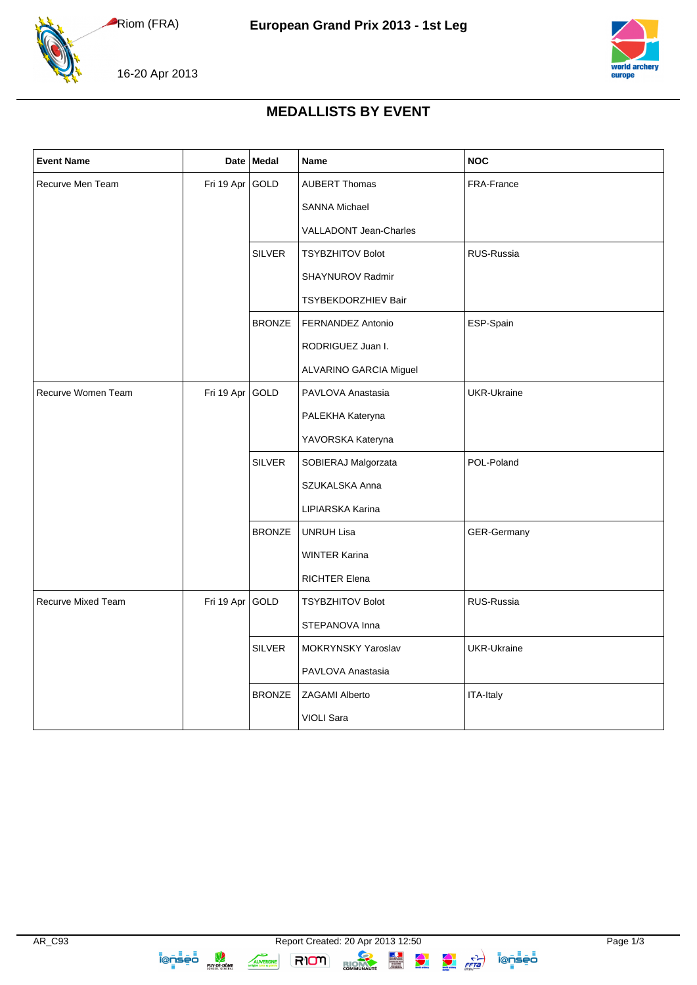Riom (FRA)





16-20 Apr 2013

## **MEDALLISTS BY EVENT**

| <b>Event Name</b>  | <b>Date</b> | Medal         | <b>Name</b>             | <b>NOC</b>         |
|--------------------|-------------|---------------|-------------------------|--------------------|
| Recurve Men Team   | Fri 19 Apr  | GOLD          | <b>AUBERT Thomas</b>    | FRA-France         |
|                    |             |               | <b>SANNA Michael</b>    |                    |
|                    |             |               | VALLADONT Jean-Charles  |                    |
|                    |             | <b>SILVER</b> | <b>TSYBZHITOV Bolot</b> | RUS-Russia         |
|                    |             |               | SHAYNUROV Radmir        |                    |
|                    |             |               | TSYBEKDORZHIEV Bair     |                    |
|                    |             | <b>BRONZE</b> | FERNANDEZ Antonio       | ESP-Spain          |
|                    |             |               | RODRIGUEZ Juan I.       |                    |
|                    |             |               | ALVARINO GARCIA Miguel  |                    |
| Recurve Women Team | Fri 19 Apr  | GOLD          | PAVLOVA Anastasia       | <b>UKR-Ukraine</b> |
|                    |             |               | PALEKHA Kateryna        |                    |
|                    |             |               | YAVORSKA Kateryna       |                    |
|                    |             | <b>SILVER</b> | SOBIERAJ Malgorzata     | POL-Poland         |
|                    |             |               | SZUKALSKA Anna          |                    |
|                    |             |               | LIPIARSKA Karina        |                    |
|                    |             | <b>BRONZE</b> | <b>UNRUH Lisa</b>       | GER-Germany        |
|                    |             |               | <b>WINTER Karina</b>    |                    |
|                    |             |               | <b>RICHTER Elena</b>    |                    |
| Recurve Mixed Team | Fri 19 Apr  | GOLD          | <b>TSYBZHITOV Bolot</b> | RUS-Russia         |
|                    |             |               | STEPANOVA Inna          |                    |
|                    |             | <b>SILVER</b> | MOKRYNSKY Yaroslav      | <b>UKR-Ukraine</b> |
|                    |             |               | PAVLOVA Anastasia       |                    |
|                    |             | <b>BRONZE</b> | <b>ZAGAMI Alberto</b>   | ITA-Italy          |
|                    |             |               | VIOLI Sara              |                    |

**ionsed** 

AUVERGNE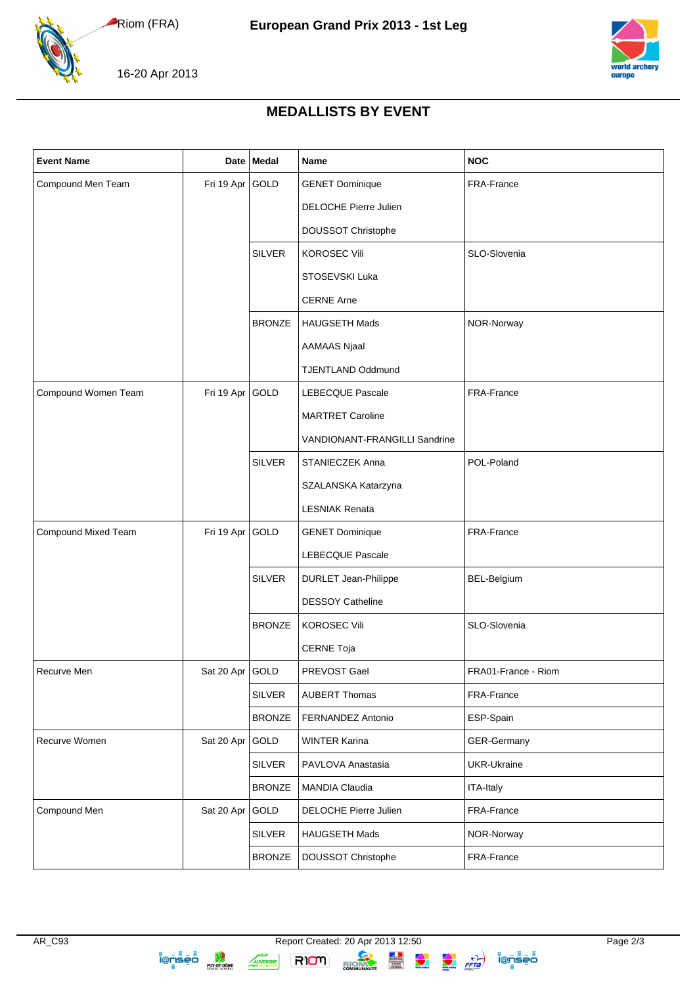Riom (FRA)



16-20 Apr 2013

## **MEDALLISTS BY EVENT**

| <b>Event Name</b>   |                 | Date   Medal  | <b>Name</b>                   | <b>NOC</b>          |
|---------------------|-----------------|---------------|-------------------------------|---------------------|
| Compound Men Team   | Fri 19 Apr GOLD |               | <b>GENET Dominique</b>        | FRA-France          |
|                     |                 |               | <b>DELOCHE Pierre Julien</b>  |                     |
|                     |                 |               | DOUSSOT Christophe            |                     |
|                     |                 | <b>SILVER</b> | <b>KOROSEC Vili</b>           | SLO-Slovenia        |
|                     |                 |               | STOSEVSKI Luka                |                     |
|                     |                 |               | <b>CERNE Arne</b>             |                     |
|                     |                 | <b>BRONZE</b> | HAUGSETH Mads                 | NOR-Norway          |
|                     |                 |               | <b>AAMAAS Njaal</b>           |                     |
|                     |                 |               | <b>TJENTLAND Oddmund</b>      |                     |
| Compound Women Team | Fri 19 Apr GOLD |               | LEBECQUE Pascale              | FRA-France          |
|                     |                 |               | <b>MARTRET Caroline</b>       |                     |
|                     |                 |               | VANDIONANT-FRANGILLI Sandrine |                     |
|                     |                 | <b>SILVER</b> | STANIECZEK Anna               | POL-Poland          |
|                     |                 |               | SZALANSKA Katarzyna           |                     |
|                     |                 |               | <b>LESNIAK Renata</b>         |                     |
| Compound Mixed Team | Fri 19 Apr GOLD |               | <b>GENET Dominique</b>        | FRA-France          |
|                     |                 |               | LEBECQUE Pascale              |                     |
|                     |                 | <b>SILVER</b> | <b>DURLET Jean-Philippe</b>   | BEL-Belgium         |
|                     |                 |               | <b>DESSOY Catheline</b>       |                     |
|                     |                 | <b>BRONZE</b> | <b>KOROSEC Vili</b>           | SLO-Slovenia        |
|                     |                 |               | <b>CERNE Toja</b>             |                     |
| Recurve Men         | Sat 20 Apr GOLD |               | PREVOST Gael                  | FRA01-France - Riom |
|                     |                 | <b>SILVER</b> | <b>AUBERT Thomas</b>          | FRA-France          |
|                     |                 | <b>BRONZE</b> | FERNANDEZ Antonio             | ESP-Spain           |
| Recurve Women       | Sat 20 Apr      | GOLD          | <b>WINTER Karina</b>          | GER-Germany         |
|                     |                 | <b>SILVER</b> | PAVLOVA Anastasia             | UKR-Ukraine         |
|                     |                 | <b>BRONZE</b> | <b>MANDIA Claudia</b>         | <b>ITA-Italy</b>    |
| Compound Men        | Sat 20 Apr      | GOLD          | <b>DELOCHE Pierre Julien</b>  | FRA-France          |
|                     |                 | <b>SILVER</b> | HAUGSETH Mads                 | NOR-Norway          |
|                     |                 | <b>BRONZE</b> | DOUSSOT Christophe            | FRA-France          |

AUVERGNE

RIOM BIOMAN EN